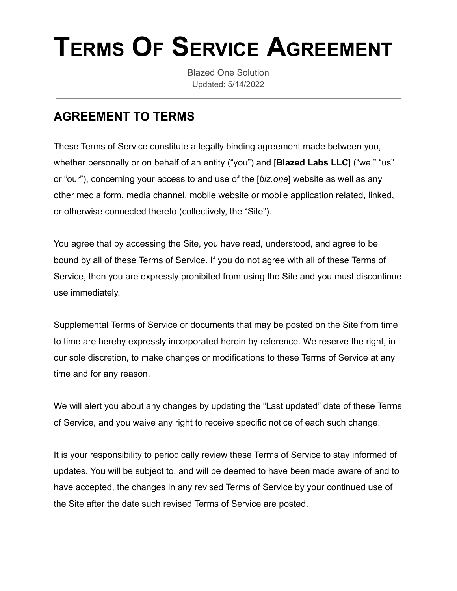# **TERMS OF SERVICE AGREEMENT**

Blazed One Solution Updated: 5/14/2022

## **AGREEMENT TO TERMS**

These Terms of Service constitute a legally binding agreement made between you, whether personally or on behalf of an entity ("you") and [**Blazed Labs LLC**] ("we," "us" or "our"), concerning your access to and use of the [*blz.one*] website as well as any other media form, media channel, mobile website or mobile application related, linked, or otherwise connected thereto (collectively, the "Site").

You agree that by accessing the Site, you have read, understood, and agree to be bound by all of these Terms of Service. If you do not agree with all of these Terms of Service, then you are expressly prohibited from using the Site and you must discontinue use immediately.

Supplemental Terms of Service or documents that may be posted on the Site from time to time are hereby expressly incorporated herein by reference. We reserve the right, in our sole discretion, to make changes or modifications to these Terms of Service at any time and for any reason.

We will alert you about any changes by updating the "Last updated" date of these Terms of Service, and you waive any right to receive specific notice of each such change.

It is your responsibility to periodically review these Terms of Service to stay informed of updates. You will be subject to, and will be deemed to have been made aware of and to have accepted, the changes in any revised Terms of Service by your continued use of the Site after the date such revised Terms of Service are posted.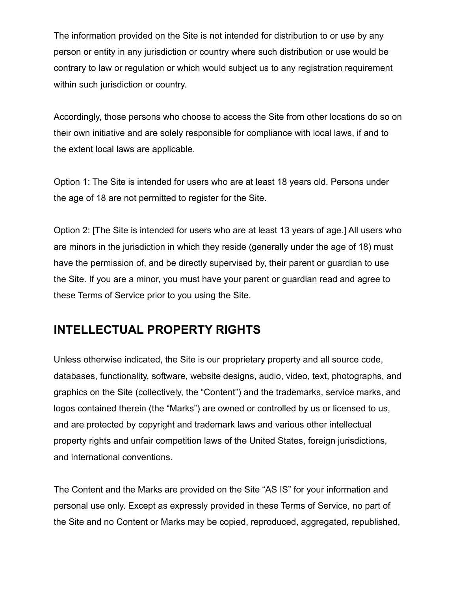The information provided on the Site is not intended for distribution to or use by any person or entity in any jurisdiction or country where such distribution or use would be contrary to law or regulation or which would subject us to any registration requirement within such jurisdiction or country.

Accordingly, those persons who choose to access the Site from other locations do so on their own initiative and are solely responsible for compliance with local laws, if and to the extent local laws are applicable.

Option 1: The Site is intended for users who are at least 18 years old. Persons under the age of 18 are not permitted to register for the Site.

Option 2: [The Site is intended for users who are at least 13 years of age.] All users who are minors in the jurisdiction in which they reside (generally under the age of 18) must have the permission of, and be directly supervised by, their parent or guardian to use the Site. If you are a minor, you must have your parent or guardian read and agree to these Terms of Service prior to you using the Site.

## **INTELLECTUAL PROPERTY RIGHTS**

Unless otherwise indicated, the Site is our proprietary property and all source code, databases, functionality, software, website designs, audio, video, text, photographs, and graphics on the Site (collectively, the "Content") and the trademarks, service marks, and logos contained therein (the "Marks") are owned or controlled by us or licensed to us, and are protected by copyright and trademark laws and various other intellectual property rights and unfair competition laws of the United States, foreign jurisdictions, and international conventions.

The Content and the Marks are provided on the Site "AS IS" for your information and personal use only. Except as expressly provided in these Terms of Service, no part of the Site and no Content or Marks may be copied, reproduced, aggregated, republished,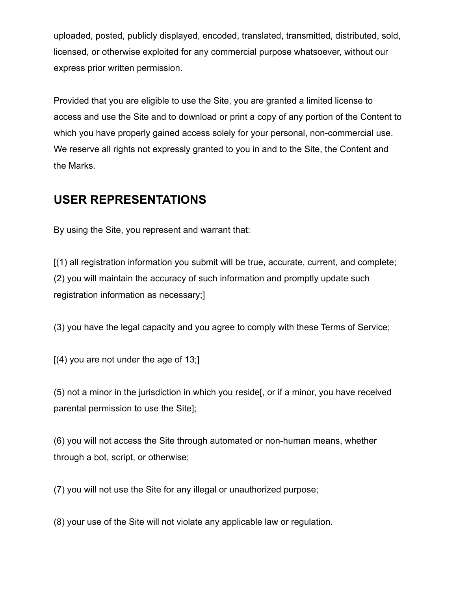uploaded, posted, publicly displayed, encoded, translated, transmitted, distributed, sold, licensed, or otherwise exploited for any commercial purpose whatsoever, without our express prior written permission.

Provided that you are eligible to use the Site, you are granted a limited license to access and use the Site and to download or print a copy of any portion of the Content to which you have properly gained access solely for your personal, non-commercial use. We reserve all rights not expressly granted to you in and to the Site, the Content and the Marks.

#### **USER REPRESENTATIONS**

By using the Site, you represent and warrant that:

[(1) all registration information you submit will be true, accurate, current, and complete; (2) you will maintain the accuracy of such information and promptly update such registration information as necessary;]

(3) you have the legal capacity and you agree to comply with these Terms of Service;

 $[(4)$  you are not under the age of 13;

(5) not a minor in the jurisdiction in which you reside[, or if a minor, you have received parental permission to use the Site];

(6) you will not access the Site through automated or non-human means, whether through a bot, script, or otherwise;

(7) you will not use the Site for any illegal or unauthorized purpose;

(8) your use of the Site will not violate any applicable law or regulation.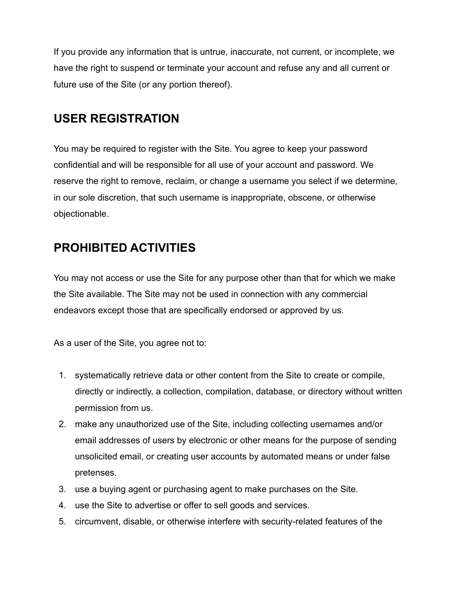If you provide any information that is untrue, inaccurate, not current, or incomplete, we have the right to suspend or terminate your account and refuse any and all current or future use of the Site (or any portion thereof).

#### **USER REGISTRATION**

You may be required to register with the Site. You agree to keep your password confidential and will be responsible for all use of your account and password. We reserve the right to remove, reclaim, or change a username you select if we determine, in our sole discretion, that such username is inappropriate, obscene, or otherwise objectionable.

#### **PROHIBITED ACTIVITIES**

You may not access or use the Site for any purpose other than that for which we make the Site available. The Site may not be used in connection with any commercial endeavors except those that are specifically endorsed or approved by us.

As a user of the Site, you agree not to:

- 1. systematically retrieve data or other content from the Site to create or compile, directly or indirectly, a collection, compilation, database, or directory without written permission from us.
- 2. make any unauthorized use of the Site, including collecting usernames and/or email addresses of users by electronic or other means for the purpose of sending unsolicited email, or creating user accounts by automated means or under false pretenses.
- 3. use a buying agent or purchasing agent to make purchases on the Site.
- 4. use the Site to advertise or offer to sell goods and services.
- 5. circumvent, disable, or otherwise interfere with security-related features of the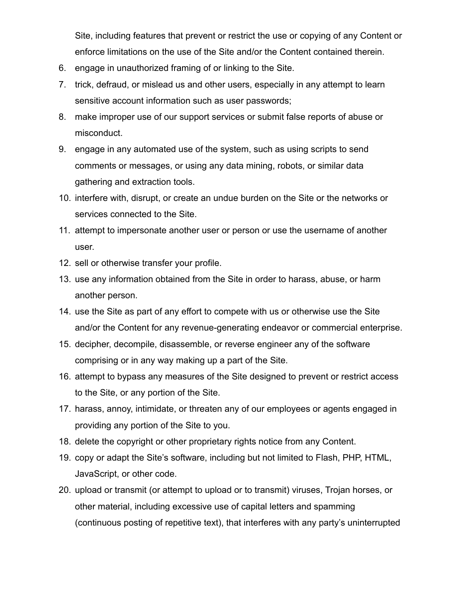Site, including features that prevent or restrict the use or copying of any Content or enforce limitations on the use of the Site and/or the Content contained therein.

- 6. engage in unauthorized framing of or linking to the Site.
- 7. trick, defraud, or mislead us and other users, especially in any attempt to learn sensitive account information such as user passwords;
- 8. make improper use of our support services or submit false reports of abuse or misconduct.
- 9. engage in any automated use of the system, such as using scripts to send comments or messages, or using any data mining, robots, or similar data gathering and extraction tools.
- 10. interfere with, disrupt, or create an undue burden on the Site or the networks or services connected to the Site.
- 11. attempt to impersonate another user or person or use the username of another user.
- 12. sell or otherwise transfer your profile.
- 13. use any information obtained from the Site in order to harass, abuse, or harm another person.
- 14. use the Site as part of any effort to compete with us or otherwise use the Site and/or the Content for any revenue-generating endeavor or commercial enterprise.
- 15. decipher, decompile, disassemble, or reverse engineer any of the software comprising or in any way making up a part of the Site.
- 16. attempt to bypass any measures of the Site designed to prevent or restrict access to the Site, or any portion of the Site.
- 17. harass, annoy, intimidate, or threaten any of our employees or agents engaged in providing any portion of the Site to you.
- 18. delete the copyright or other proprietary rights notice from any Content.
- 19. copy or adapt the Site's software, including but not limited to Flash, PHP, HTML, JavaScript, or other code.
- 20. upload or transmit (or attempt to upload or to transmit) viruses, Trojan horses, or other material, including excessive use of capital letters and spamming (continuous posting of repetitive text), that interferes with any party's uninterrupted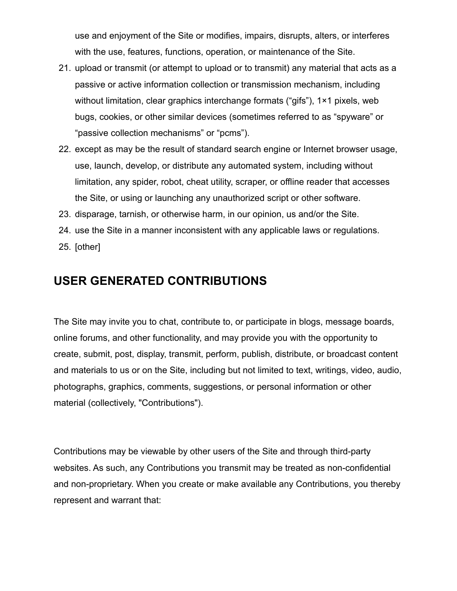use and enjoyment of the Site or modifies, impairs, disrupts, alters, or interferes with the use, features, functions, operation, or maintenance of the Site.

- 21. upload or transmit (or attempt to upload or to transmit) any material that acts as a passive or active information collection or transmission mechanism, including without limitation, clear graphics interchange formats ("gifs"), 1×1 pixels, web bugs, cookies, or other similar devices (sometimes referred to as "spyware" or "passive collection mechanisms" or "pcms").
- 22. except as may be the result of standard search engine or Internet browser usage, use, launch, develop, or distribute any automated system, including without limitation, any spider, robot, cheat utility, scraper, or offline reader that accesses the Site, or using or launching any unauthorized script or other software.
- 23. disparage, tarnish, or otherwise harm, in our opinion, us and/or the Site.
- 24. use the Site in a manner inconsistent with any applicable laws or regulations. 25. [other]
- 

#### **USER GENERATED CONTRIBUTIONS**

The Site may invite you to chat, contribute to, or participate in blogs, message boards, online forums, and other functionality, and may provide you with the opportunity to create, submit, post, display, transmit, perform, publish, distribute, or broadcast content and materials to us or on the Site, including but not limited to text, writings, video, audio, photographs, graphics, comments, suggestions, or personal information or other material (collectively, "Contributions").

Contributions may be viewable by other users of the Site and through third-party websites. As such, any Contributions you transmit may be treated as non-confidential and non-proprietary. When you create or make available any Contributions, you thereby represent and warrant that: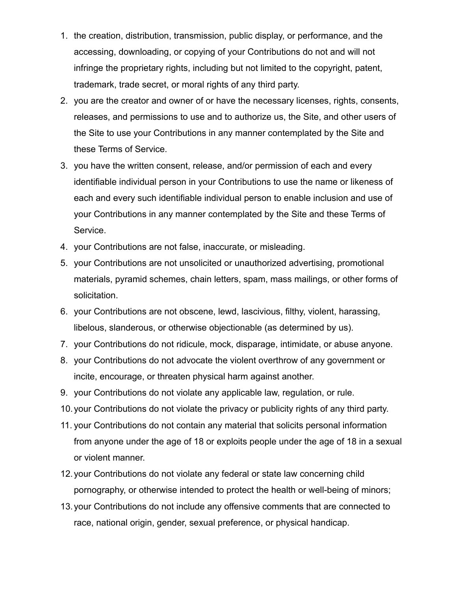- 1. the creation, distribution, transmission, public display, or performance, and the accessing, downloading, or copying of your Contributions do not and will not infringe the proprietary rights, including but not limited to the copyright, patent, trademark, trade secret, or moral rights of any third party.
- 2. you are the creator and owner of or have the necessary licenses, rights, consents, releases, and permissions to use and to authorize us, the Site, and other users of the Site to use your Contributions in any manner contemplated by the Site and these Terms of Service.
- 3. you have the written consent, release, and/or permission of each and every identifiable individual person in your Contributions to use the name or likeness of each and every such identifiable individual person to enable inclusion and use of your Contributions in any manner contemplated by the Site and these Terms of Service.
- 4. your Contributions are not false, inaccurate, or misleading.
- 5. your Contributions are not unsolicited or unauthorized advertising, promotional materials, pyramid schemes, chain letters, spam, mass mailings, or other forms of solicitation.
- 6. your Contributions are not obscene, lewd, lascivious, filthy, violent, harassing, libelous, slanderous, or otherwise objectionable (as determined by us).
- 7. your Contributions do not ridicule, mock, disparage, intimidate, or abuse anyone.
- 8. your Contributions do not advocate the violent overthrow of any government or incite, encourage, or threaten physical harm against another.
- 9. your Contributions do not violate any applicable law, regulation, or rule.
- 10.your Contributions do not violate the privacy or publicity rights of any third party.
- 11. your Contributions do not contain any material that solicits personal information from anyone under the age of 18 or exploits people under the age of 18 in a sexual or violent manner.
- 12.your Contributions do not violate any federal or state law concerning child pornography, or otherwise intended to protect the health or well-being of minors;
- 13.your Contributions do not include any offensive comments that are connected to race, national origin, gender, sexual preference, or physical handicap.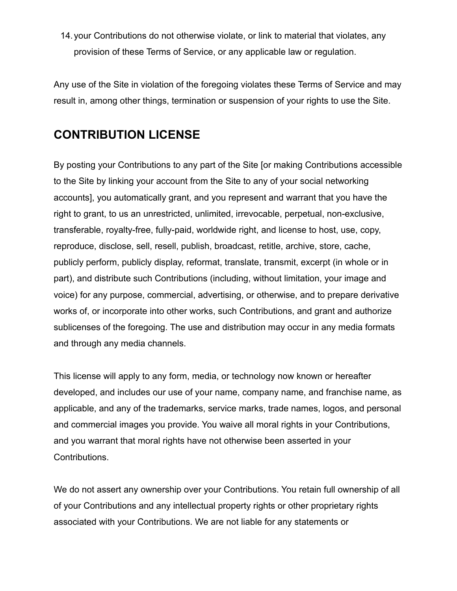14.your Contributions do not otherwise violate, or link to material that violates, any provision of these Terms of Service, or any applicable law or regulation.

Any use of the Site in violation of the foregoing violates these Terms of Service and may result in, among other things, termination or suspension of your rights to use the Site.

#### **CONTRIBUTION LICENSE**

By posting your Contributions to any part of the Site [or making Contributions accessible to the Site by linking your account from the Site to any of your social networking accounts], you automatically grant, and you represent and warrant that you have the right to grant, to us an unrestricted, unlimited, irrevocable, perpetual, non-exclusive, transferable, royalty-free, fully-paid, worldwide right, and license to host, use, copy, reproduce, disclose, sell, resell, publish, broadcast, retitle, archive, store, cache, publicly perform, publicly display, reformat, translate, transmit, excerpt (in whole or in part), and distribute such Contributions (including, without limitation, your image and voice) for any purpose, commercial, advertising, or otherwise, and to prepare derivative works of, or incorporate into other works, such Contributions, and grant and authorize sublicenses of the foregoing. The use and distribution may occur in any media formats and through any media channels.

This license will apply to any form, media, or technology now known or hereafter developed, and includes our use of your name, company name, and franchise name, as applicable, and any of the trademarks, service marks, trade names, logos, and personal and commercial images you provide. You waive all moral rights in your Contributions, and you warrant that moral rights have not otherwise been asserted in your Contributions.

We do not assert any ownership over your Contributions. You retain full ownership of all of your Contributions and any intellectual property rights or other proprietary rights associated with your Contributions. We are not liable for any statements or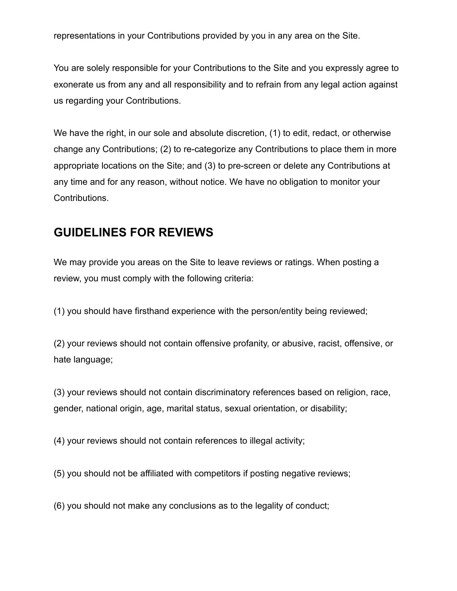representations in your Contributions provided by you in any area on the Site.

You are solely responsible for your Contributions to the Site and you expressly agree to exonerate us from any and all responsibility and to refrain from any legal action against us regarding your Contributions.

We have the right, in our sole and absolute discretion, (1) to edit, redact, or otherwise change any Contributions; (2) to re-categorize any Contributions to place them in more appropriate locations on the Site; and (3) to pre-screen or delete any Contributions at any time and for any reason, without notice. We have no obligation to monitor your Contributions.

#### **GUIDELINES FOR REVIEWS**

We may provide you areas on the Site to leave reviews or ratings. When posting a review, you must comply with the following criteria:

(1) you should have firsthand experience with the person/entity being reviewed;

(2) your reviews should not contain offensive profanity, or abusive, racist, offensive, or hate language;

(3) your reviews should not contain discriminatory references based on religion, race, gender, national origin, age, marital status, sexual orientation, or disability;

(4) your reviews should not contain references to illegal activity;

(5) you should not be affiliated with competitors if posting negative reviews;

(6) you should not make any conclusions as to the legality of conduct;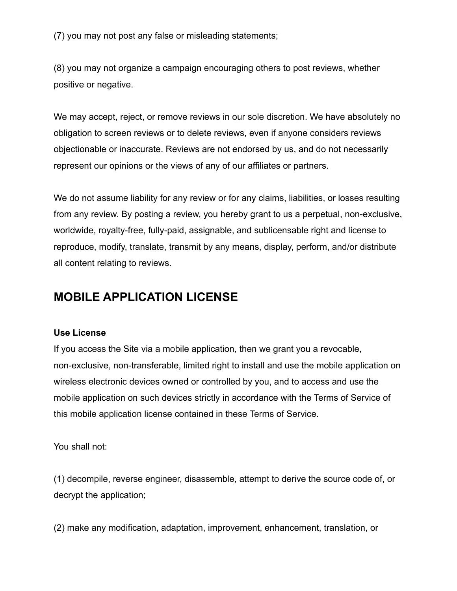(7) you may not post any false or misleading statements;

(8) you may not organize a campaign encouraging others to post reviews, whether positive or negative.

We may accept, reject, or remove reviews in our sole discretion. We have absolutely no obligation to screen reviews or to delete reviews, even if anyone considers reviews objectionable or inaccurate. Reviews are not endorsed by us, and do not necessarily represent our opinions or the views of any of our affiliates or partners.

We do not assume liability for any review or for any claims, liabilities, or losses resulting from any review. By posting a review, you hereby grant to us a perpetual, non-exclusive, worldwide, royalty-free, fully-paid, assignable, and sublicensable right and license to reproduce, modify, translate, transmit by any means, display, perform, and/or distribute all content relating to reviews.

#### **MOBILE APPLICATION LICENSE**

#### **Use License**

If you access the Site via a mobile application, then we grant you a revocable, non-exclusive, non-transferable, limited right to install and use the mobile application on wireless electronic devices owned or controlled by you, and to access and use the mobile application on such devices strictly in accordance with the Terms of Service of this mobile application license contained in these Terms of Service.

You shall not:

(1) decompile, reverse engineer, disassemble, attempt to derive the source code of, or decrypt the application;

(2) make any modification, adaptation, improvement, enhancement, translation, or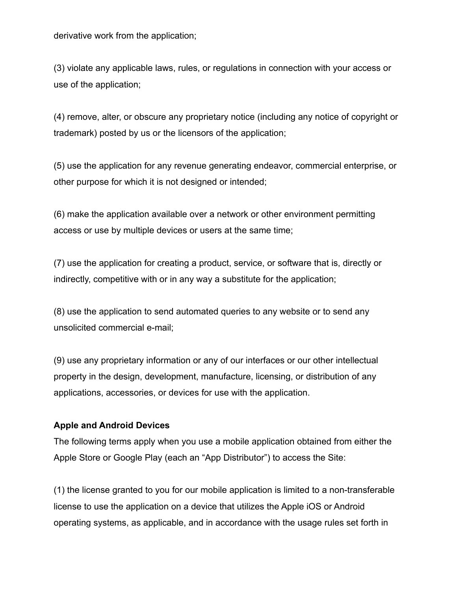derivative work from the application;

(3) violate any applicable laws, rules, or regulations in connection with your access or use of the application;

(4) remove, alter, or obscure any proprietary notice (including any notice of copyright or trademark) posted by us or the licensors of the application;

(5) use the application for any revenue generating endeavor, commercial enterprise, or other purpose for which it is not designed or intended;

(6) make the application available over a network or other environment permitting access or use by multiple devices or users at the same time;

(7) use the application for creating a product, service, or software that is, directly or indirectly, competitive with or in any way a substitute for the application;

(8) use the application to send automated queries to any website or to send any unsolicited commercial e-mail;

(9) use any proprietary information or any of our interfaces or our other intellectual property in the design, development, manufacture, licensing, or distribution of any applications, accessories, or devices for use with the application.

#### **Apple and Android Devices**

The following terms apply when you use a mobile application obtained from either the Apple Store or Google Play (each an "App Distributor") to access the Site:

(1) the license granted to you for our mobile application is limited to a non-transferable license to use the application on a device that utilizes the Apple iOS or Android operating systems, as applicable, and in accordance with the usage rules set forth in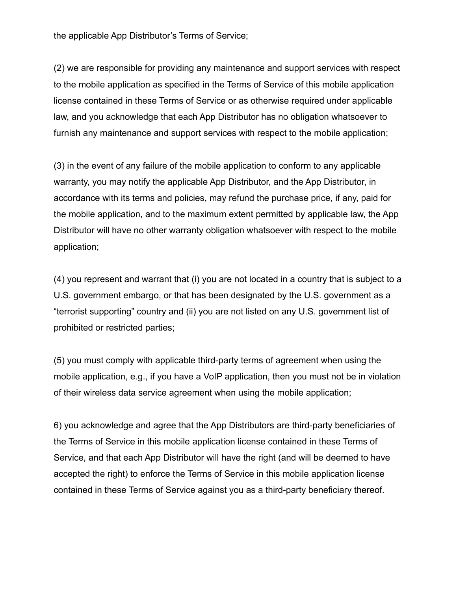the applicable App Distributor's Terms of Service;

(2) we are responsible for providing any maintenance and support services with respect to the mobile application as specified in the Terms of Service of this mobile application license contained in these Terms of Service or as otherwise required under applicable law, and you acknowledge that each App Distributor has no obligation whatsoever to furnish any maintenance and support services with respect to the mobile application;

(3) in the event of any failure of the mobile application to conform to any applicable warranty, you may notify the applicable App Distributor, and the App Distributor, in accordance with its terms and policies, may refund the purchase price, if any, paid for the mobile application, and to the maximum extent permitted by applicable law, the App Distributor will have no other warranty obligation whatsoever with respect to the mobile application;

(4) you represent and warrant that (i) you are not located in a country that is subject to a U.S. government embargo, or that has been designated by the U.S. government as a "terrorist supporting" country and (ii) you are not listed on any U.S. government list of prohibited or restricted parties;

(5) you must comply with applicable third-party terms of agreement when using the mobile application, e.g., if you have a VoIP application, then you must not be in violation of their wireless data service agreement when using the mobile application;

6) you acknowledge and agree that the App Distributors are third-party beneficiaries of the Terms of Service in this mobile application license contained in these Terms of Service, and that each App Distributor will have the right (and will be deemed to have accepted the right) to enforce the Terms of Service in this mobile application license contained in these Terms of Service against you as a third-party beneficiary thereof.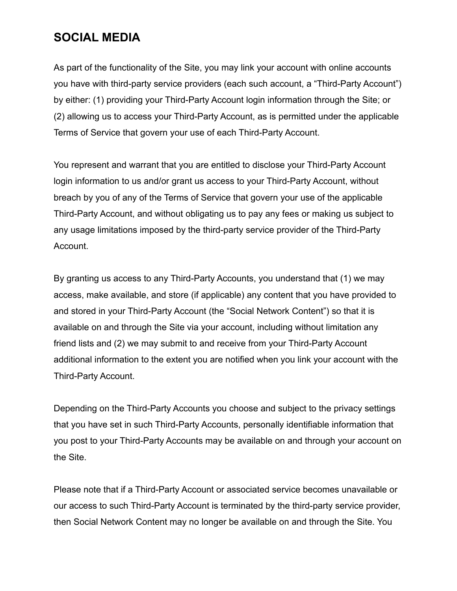#### **SOCIAL MEDIA**

As part of the functionality of the Site, you may link your account with online accounts you have with third-party service providers (each such account, a "Third-Party Account") by either: (1) providing your Third-Party Account login information through the Site; or (2) allowing us to access your Third-Party Account, as is permitted under the applicable Terms of Service that govern your use of each Third-Party Account.

You represent and warrant that you are entitled to disclose your Third-Party Account login information to us and/or grant us access to your Third-Party Account, without breach by you of any of the Terms of Service that govern your use of the applicable Third-Party Account, and without obligating us to pay any fees or making us subject to any usage limitations imposed by the third-party service provider of the Third-Party Account.

By granting us access to any Third-Party Accounts, you understand that (1) we may access, make available, and store (if applicable) any content that you have provided to and stored in your Third-Party Account (the "Social Network Content") so that it is available on and through the Site via your account, including without limitation any friend lists and (2) we may submit to and receive from your Third-Party Account additional information to the extent you are notified when you link your account with the Third-Party Account.

Depending on the Third-Party Accounts you choose and subject to the privacy settings that you have set in such Third-Party Accounts, personally identifiable information that you post to your Third-Party Accounts may be available on and through your account on the Site.

Please note that if a Third-Party Account or associated service becomes unavailable or our access to such Third-Party Account is terminated by the third-party service provider, then Social Network Content may no longer be available on and through the Site. You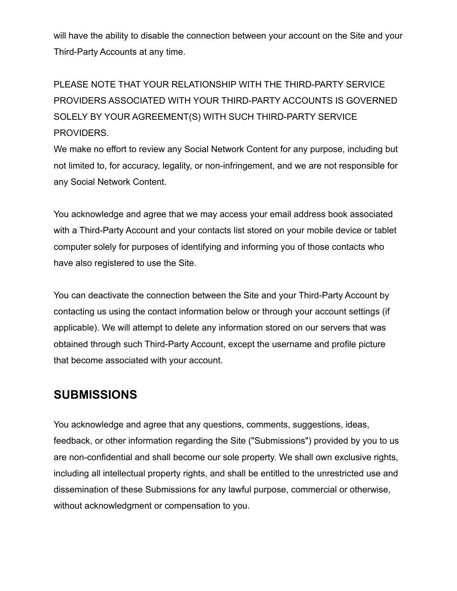will have the ability to disable the connection between your account on the Site and your Third-Party Accounts at any time.

PLEASE NOTE THAT YOUR RELATIONSHIP WITH THE THIRD-PARTY SERVICE PROVIDERS ASSOCIATED WITH YOUR THIRD-PARTY ACCOUNTS IS GOVERNED SOLELY BY YOUR AGREEMENT(S) WITH SUCH THIRD-PARTY SERVICE PROVIDERS.

We make no effort to review any Social Network Content for any purpose, including but not limited to, for accuracy, legality, or non-infringement, and we are not responsible for any Social Network Content.

You acknowledge and agree that we may access your email address book associated with a Third-Party Account and your contacts list stored on your mobile device or tablet computer solely for purposes of identifying and informing you of those contacts who have also registered to use the Site.

You can deactivate the connection between the Site and your Third-Party Account by contacting us using the contact information below or through your account settings (if applicable). We will attempt to delete any information stored on our servers that was obtained through such Third-Party Account, except the username and profile picture that become associated with your account.

#### **SUBMISSIONS**

You acknowledge and agree that any questions, comments, suggestions, ideas, feedback, or other information regarding the Site ("Submissions") provided by you to us are non-confidential and shall become our sole property. We shall own exclusive rights, including all intellectual property rights, and shall be entitled to the unrestricted use and dissemination of these Submissions for any lawful purpose, commercial or otherwise, without acknowledgment or compensation to you.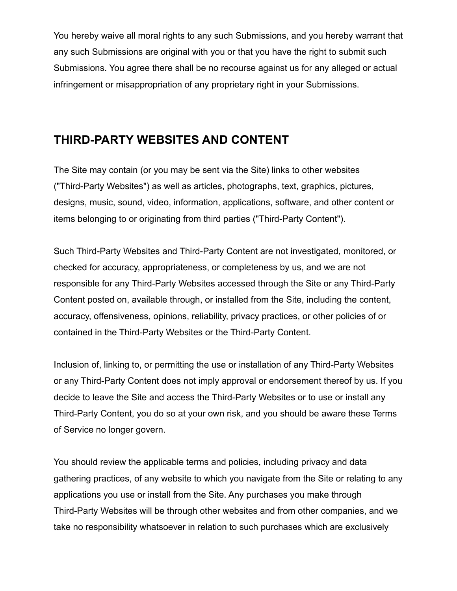You hereby waive all moral rights to any such Submissions, and you hereby warrant that any such Submissions are original with you or that you have the right to submit such Submissions. You agree there shall be no recourse against us for any alleged or actual infringement or misappropriation of any proprietary right in your Submissions.

#### **THIRD-PARTY WEBSITES AND CONTENT**

The Site may contain (or you may be sent via the Site) links to other websites ("Third-Party Websites") as well as articles, photographs, text, graphics, pictures, designs, music, sound, video, information, applications, software, and other content or items belonging to or originating from third parties ("Third-Party Content").

Such Third-Party Websites and Third-Party Content are not investigated, monitored, or checked for accuracy, appropriateness, or completeness by us, and we are not responsible for any Third-Party Websites accessed through the Site or any Third-Party Content posted on, available through, or installed from the Site, including the content, accuracy, offensiveness, opinions, reliability, privacy practices, or other policies of or contained in the Third-Party Websites or the Third-Party Content.

Inclusion of, linking to, or permitting the use or installation of any Third-Party Websites or any Third-Party Content does not imply approval or endorsement thereof by us. If you decide to leave the Site and access the Third-Party Websites or to use or install any Third-Party Content, you do so at your own risk, and you should be aware these Terms of Service no longer govern.

You should review the applicable terms and policies, including privacy and data gathering practices, of any website to which you navigate from the Site or relating to any applications you use or install from the Site. Any purchases you make through Third-Party Websites will be through other websites and from other companies, and we take no responsibility whatsoever in relation to such purchases which are exclusively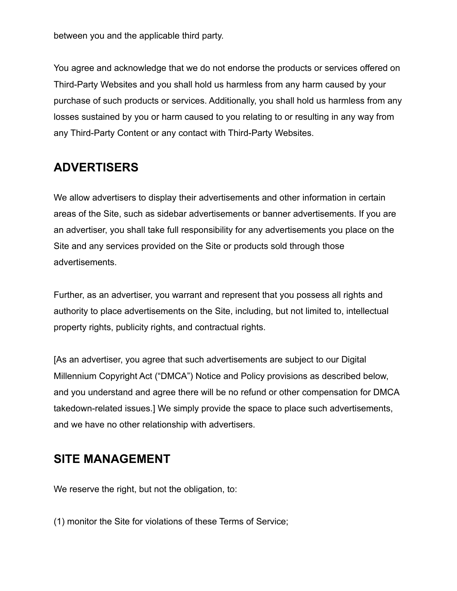between you and the applicable third party.

You agree and acknowledge that we do not endorse the products or services offered on Third-Party Websites and you shall hold us harmless from any harm caused by your purchase of such products or services. Additionally, you shall hold us harmless from any losses sustained by you or harm caused to you relating to or resulting in any way from any Third-Party Content or any contact with Third-Party Websites.

#### **ADVERTISERS**

We allow advertisers to display their advertisements and other information in certain areas of the Site, such as sidebar advertisements or banner advertisements. If you are an advertiser, you shall take full responsibility for any advertisements you place on the Site and any services provided on the Site or products sold through those advertisements.

Further, as an advertiser, you warrant and represent that you possess all rights and authority to place advertisements on the Site, including, but not limited to, intellectual property rights, publicity rights, and contractual rights.

[As an advertiser, you agree that such advertisements are subject to our Digital Millennium Copyright Act ("DMCA") Notice and Policy provisions as described below, and you understand and agree there will be no refund or other compensation for DMCA takedown-related issues.] We simply provide the space to place such advertisements, and we have no other relationship with advertisers.

#### **SITE MANAGEMENT**

We reserve the right, but not the obligation, to:

(1) monitor the Site for violations of these Terms of Service;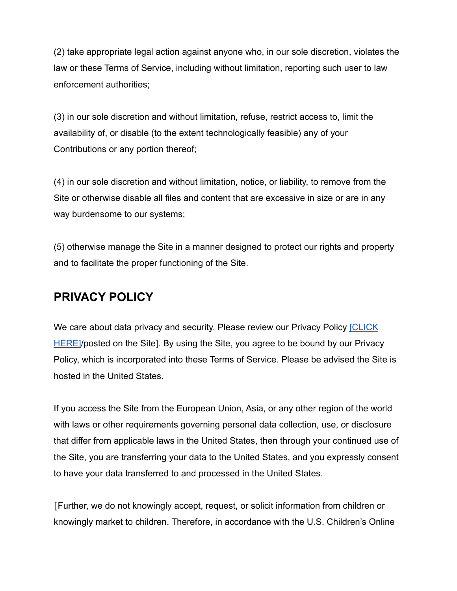(2) take appropriate legal action against anyone who, in our sole discretion, violates the law or these Terms of Service, including without limitation, reporting such user to law enforcement authorities;

(3) in our sole discretion and without limitation, refuse, restrict access to, limit the availability of, or disable (to the extent technologically feasible) any of your Contributions or any portion thereof;

(4) in our sole discretion and without limitation, notice, or liability, to remove from the Site or otherwise disable all files and content that are excessive in size or are in any way burdensome to our systems;

(5) otherwise manage the Site in a manner designed to protect our rights and property and to facilitate the proper functioning of the Site.

#### **PRIVACY POLICY**

We care about data privacy and security. Please review our Privacy Policy [\[CLICK](https://www.blazedlabs.com/privacy/)] HEREI/posted on the Site]. By using the Site, you agree to be bound by our Privacy Policy, which is incorporated into these Terms of Service. Please be advised the Site is hosted in the United States.

If you access the Site from the European Union, Asia, or any other region of the world with laws or other requirements governing personal data collection, use, or disclosure that differ from applicable laws in the United States, then through your continued use of the Site, you are transferring your data to the United States, and you expressly consent to have your data transferred to and processed in the United States.

[Further, we do not knowingly accept, request, or solicit information from children or knowingly market to children. Therefore, in accordance with the U.S. Children's Online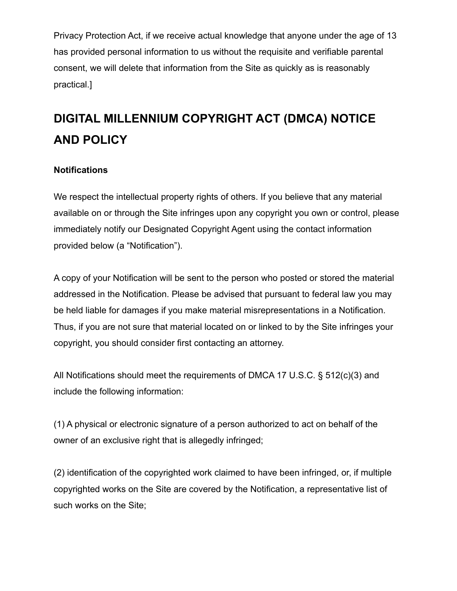Privacy Protection Act, if we receive actual knowledge that anyone under the age of 13 has provided personal information to us without the requisite and verifiable parental consent, we will delete that information from the Site as quickly as is reasonably practical.]

# **DIGITAL MILLENNIUM COPYRIGHT ACT (DMCA) NOTICE AND POLICY**

#### **Notifications**

We respect the intellectual property rights of others. If you believe that any material available on or through the Site infringes upon any copyright you own or control, please immediately notify our Designated Copyright Agent using the contact information provided below (a "Notification").

A copy of your Notification will be sent to the person who posted or stored the material addressed in the Notification. Please be advised that pursuant to federal law you may be held liable for damages if you make material misrepresentations in a Notification. Thus, if you are not sure that material located on or linked to by the Site infringes your copyright, you should consider first contacting an attorney.

All Notifications should meet the requirements of DMCA 17 U.S.C. § 512(c)(3) and include the following information:

(1) A physical or electronic signature of a person authorized to act on behalf of the owner of an exclusive right that is allegedly infringed;

(2) identification of the copyrighted work claimed to have been infringed, or, if multiple copyrighted works on the Site are covered by the Notification, a representative list of such works on the Site;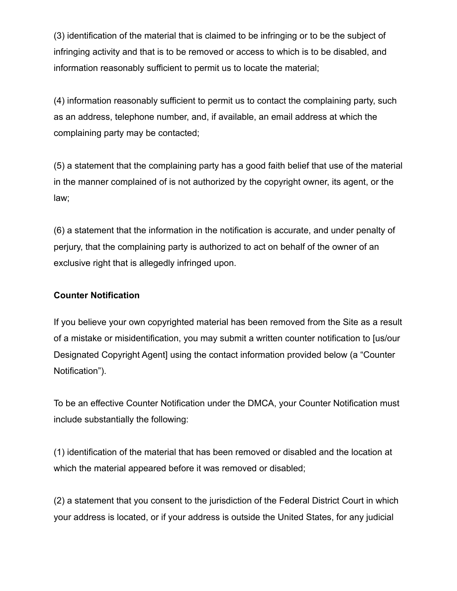(3) identification of the material that is claimed to be infringing or to be the subject of infringing activity and that is to be removed or access to which is to be disabled, and information reasonably sufficient to permit us to locate the material;

(4) information reasonably sufficient to permit us to contact the complaining party, such as an address, telephone number, and, if available, an email address at which the complaining party may be contacted;

(5) a statement that the complaining party has a good faith belief that use of the material in the manner complained of is not authorized by the copyright owner, its agent, or the law;

(6) a statement that the information in the notification is accurate, and under penalty of perjury, that the complaining party is authorized to act on behalf of the owner of an exclusive right that is allegedly infringed upon.

#### **Counter Notification**

If you believe your own copyrighted material has been removed from the Site as a result of a mistake or misidentification, you may submit a written counter notification to [us/our Designated Copyright Agent] using the contact information provided below (a "Counter Notification").

To be an effective Counter Notification under the DMCA, your Counter Notification must include substantially the following:

(1) identification of the material that has been removed or disabled and the location at which the material appeared before it was removed or disabled;

(2) a statement that you consent to the jurisdiction of the Federal District Court in which your address is located, or if your address is outside the United States, for any judicial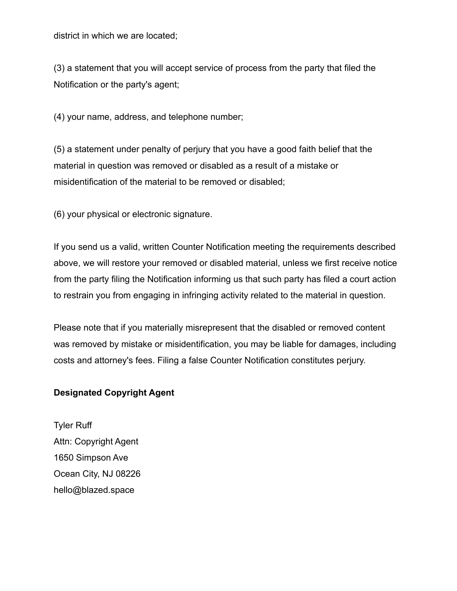district in which we are located;

(3) a statement that you will accept service of process from the party that filed the Notification or the party's agent;

(4) your name, address, and telephone number;

(5) a statement under penalty of perjury that you have a good faith belief that the material in question was removed or disabled as a result of a mistake or misidentification of the material to be removed or disabled;

(6) your physical or electronic signature.

If you send us a valid, written Counter Notification meeting the requirements described above, we will restore your removed or disabled material, unless we first receive notice from the party filing the Notification informing us that such party has filed a court action to restrain you from engaging in infringing activity related to the material in question.

Please note that if you materially misrepresent that the disabled or removed content was removed by mistake or misidentification, you may be liable for damages, including costs and attorney's fees. Filing a false Counter Notification constitutes perjury.

#### **Designated Copyright Agent**

Tyler Ruff Attn: Copyright Agent 1650 Simpson Ave Ocean City, NJ 08226 hello@blazed.space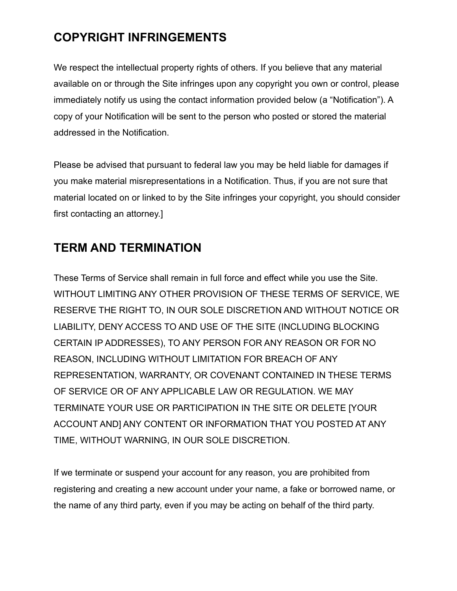## **COPYRIGHT INFRINGEMENTS**

We respect the intellectual property rights of others. If you believe that any material available on or through the Site infringes upon any copyright you own or control, please immediately notify us using the contact information provided below (a "Notification"). A copy of your Notification will be sent to the person who posted or stored the material addressed in the Notification.

Please be advised that pursuant to federal law you may be held liable for damages if you make material misrepresentations in a Notification. Thus, if you are not sure that material located on or linked to by the Site infringes your copyright, you should consider first contacting an attorney.]

#### **TERM AND TERMINATION**

These Terms of Service shall remain in full force and effect while you use the Site. WITHOUT LIMITING ANY OTHER PROVISION OF THESE TERMS OF SERVICE, WE RESERVE THE RIGHT TO, IN OUR SOLE DISCRETION AND WITHOUT NOTICE OR LIABILITY, DENY ACCESS TO AND USE OF THE SITE (INCLUDING BLOCKING CERTAIN IP ADDRESSES), TO ANY PERSON FOR ANY REASON OR FOR NO REASON, INCLUDING WITHOUT LIMITATION FOR BREACH OF ANY REPRESENTATION, WARRANTY, OR COVENANT CONTAINED IN THESE TERMS OF SERVICE OR OF ANY APPLICABLE LAW OR REGULATION. WE MAY TERMINATE YOUR USE OR PARTICIPATION IN THE SITE OR DELETE [YOUR ACCOUNT AND] ANY CONTENT OR INFORMATION THAT YOU POSTED AT ANY TIME, WITHOUT WARNING, IN OUR SOLE DISCRETION.

If we terminate or suspend your account for any reason, you are prohibited from registering and creating a new account under your name, a fake or borrowed name, or the name of any third party, even if you may be acting on behalf of the third party.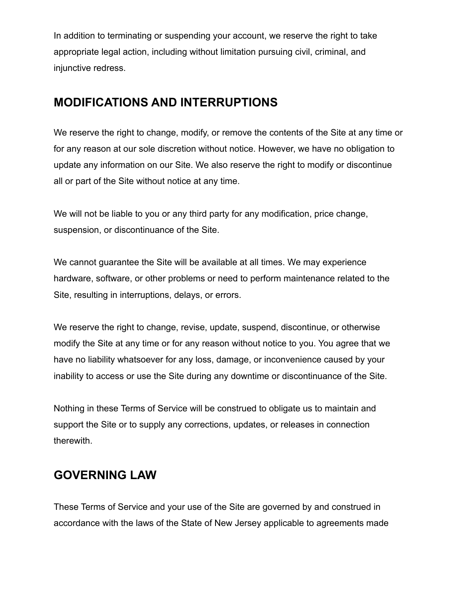In addition to terminating or suspending your account, we reserve the right to take appropriate legal action, including without limitation pursuing civil, criminal, and injunctive redress.

#### **MODIFICATIONS AND INTERRUPTIONS**

We reserve the right to change, modify, or remove the contents of the Site at any time or for any reason at our sole discretion without notice. However, we have no obligation to update any information on our Site. We also reserve the right to modify or discontinue all or part of the Site without notice at any time.

We will not be liable to you or any third party for any modification, price change, suspension, or discontinuance of the Site.

We cannot guarantee the Site will be available at all times. We may experience hardware, software, or other problems or need to perform maintenance related to the Site, resulting in interruptions, delays, or errors.

We reserve the right to change, revise, update, suspend, discontinue, or otherwise modify the Site at any time or for any reason without notice to you. You agree that we have no liability whatsoever for any loss, damage, or inconvenience caused by your inability to access or use the Site during any downtime or discontinuance of the Site.

Nothing in these Terms of Service will be construed to obligate us to maintain and support the Site or to supply any corrections, updates, or releases in connection therewith.

#### **GOVERNING LAW**

These Terms of Service and your use of the Site are governed by and construed in accordance with the laws of the State of New Jersey applicable to agreements made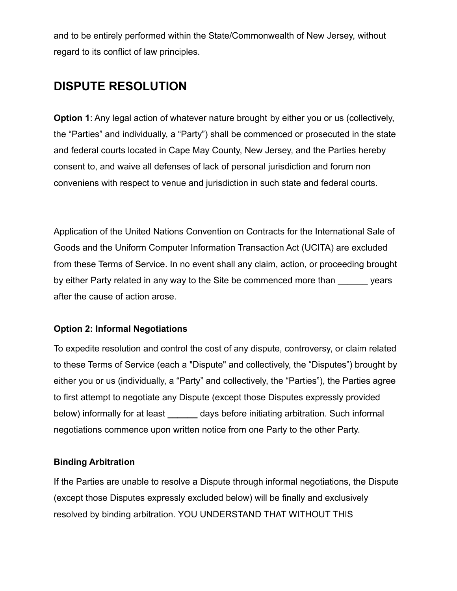and to be entirely performed within the State/Commonwealth of New Jersey, without regard to its conflict of law principles.

#### **DISPUTE RESOLUTION**

**Option 1**: Any legal action of whatever nature brought by either you or us (collectively, the "Parties" and individually, a "Party") shall be commenced or prosecuted in the state and federal courts located in Cape May County, New Jersey, and the Parties hereby consent to, and waive all defenses of lack of personal jurisdiction and forum non conveniens with respect to venue and jurisdiction in such state and federal courts.

Application of the United Nations Convention on Contracts for the International Sale of Goods and the Uniform Computer Information Transaction Act (UCITA) are excluded from these Terms of Service. In no event shall any claim, action, or proceeding brought by either Party related in any way to the Site be commenced more than vears after the cause of action arose.

#### **Option 2: Informal Negotiations**

To expedite resolution and control the cost of any dispute, controversy, or claim related to these Terms of Service (each a "Dispute" and collectively, the "Disputes") brought by either you or us (individually, a "Party" and collectively, the "Parties"), the Parties agree to first attempt to negotiate any Dispute (except those Disputes expressly provided below) informally for at least **\_\_\_\_\_\_** days before initiating arbitration. Such informal negotiations commence upon written notice from one Party to the other Party.

#### **Binding Arbitration**

If the Parties are unable to resolve a Dispute through informal negotiations, the Dispute (except those Disputes expressly excluded below) will be finally and exclusively resolved by binding arbitration. YOU UNDERSTAND THAT WITHOUT THIS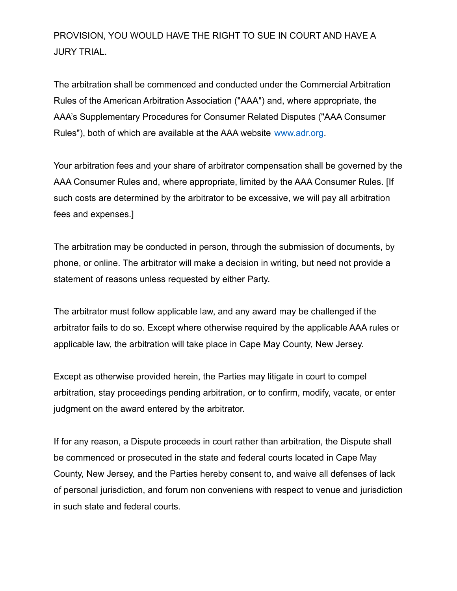PROVISION, YOU WOULD HAVE THE RIGHT TO SUE IN COURT AND HAVE A JURY TRIAL.

The arbitration shall be commenced and conducted under the Commercial Arbitration Rules of the American Arbitration Association ("AAA") and, where appropriate, the AAA's Supplementary Procedures for Consumer Related Disputes ("AAA Consumer Rules"), both of which are available at the AAA website [www.adr.org.](http://www.adr.org)

Your arbitration fees and your share of arbitrator compensation shall be governed by the AAA Consumer Rules and, where appropriate, limited by the AAA Consumer Rules. [If such costs are determined by the arbitrator to be excessive, we will pay all arbitration fees and expenses.]

The arbitration may be conducted in person, through the submission of documents, by phone, or online. The arbitrator will make a decision in writing, but need not provide a statement of reasons unless requested by either Party.

The arbitrator must follow applicable law, and any award may be challenged if the arbitrator fails to do so. Except where otherwise required by the applicable AAA rules or applicable law, the arbitration will take place in Cape May County, New Jersey.

Except as otherwise provided herein, the Parties may litigate in court to compel arbitration, stay proceedings pending arbitration, or to confirm, modify, vacate, or enter judgment on the award entered by the arbitrator.

If for any reason, a Dispute proceeds in court rather than arbitration, the Dispute shall be commenced or prosecuted in the state and federal courts located in Cape May County, New Jersey, and the Parties hereby consent to, and waive all defenses of lack of personal jurisdiction, and forum non conveniens with respect to venue and jurisdiction in such state and federal courts.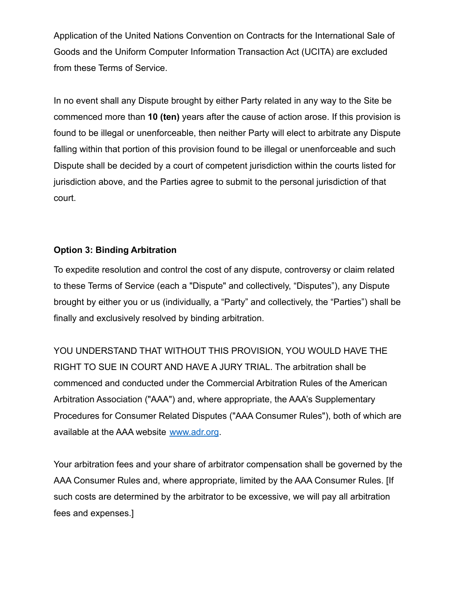Application of the United Nations Convention on Contracts for the International Sale of Goods and the Uniform Computer Information Transaction Act (UCITA) are excluded from these Terms of Service.

In no event shall any Dispute brought by either Party related in any way to the Site be commenced more than **10 (ten)** years after the cause of action arose. If this provision is found to be illegal or unenforceable, then neither Party will elect to arbitrate any Dispute falling within that portion of this provision found to be illegal or unenforceable and such Dispute shall be decided by a court of competent jurisdiction within the courts listed for jurisdiction above, and the Parties agree to submit to the personal jurisdiction of that court.

#### **Option 3: Binding Arbitration**

To expedite resolution and control the cost of any dispute, controversy or claim related to these Terms of Service (each a "Dispute" and collectively, "Disputes"), any Dispute brought by either you or us (individually, a "Party" and collectively, the "Parties") shall be finally and exclusively resolved by binding arbitration.

YOU UNDERSTAND THAT WITHOUT THIS PROVISION, YOU WOULD HAVE THE RIGHT TO SUE IN COURT AND HAVE A JURY TRIAL. The arbitration shall be commenced and conducted under the Commercial Arbitration Rules of the American Arbitration Association ("AAA") and, where appropriate, the AAA's Supplementary Procedures for Consumer Related Disputes ("AAA Consumer Rules"), both of which are available at the AAA website [www.adr.org](http://www.adr.org).

Your arbitration fees and your share of arbitrator compensation shall be governed by the AAA Consumer Rules and, where appropriate, limited by the AAA Consumer Rules. [If such costs are determined by the arbitrator to be excessive, we will pay all arbitration fees and expenses.]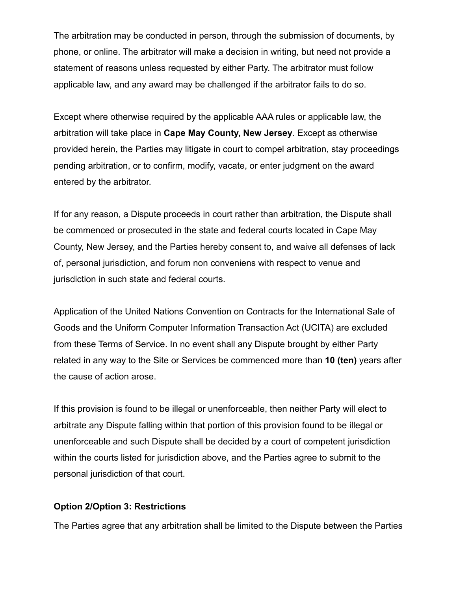The arbitration may be conducted in person, through the submission of documents, by phone, or online. The arbitrator will make a decision in writing, but need not provide a statement of reasons unless requested by either Party. The arbitrator must follow applicable law, and any award may be challenged if the arbitrator fails to do so.

Except where otherwise required by the applicable AAA rules or applicable law, the arbitration will take place in **Cape May County, New Jersey**. Except as otherwise provided herein, the Parties may litigate in court to compel arbitration, stay proceedings pending arbitration, or to confirm, modify, vacate, or enter judgment on the award entered by the arbitrator.

If for any reason, a Dispute proceeds in court rather than arbitration, the Dispute shall be commenced or prosecuted in the state and federal courts located in Cape May County, New Jersey, and the Parties hereby consent to, and waive all defenses of lack of, personal jurisdiction, and forum non conveniens with respect to venue and jurisdiction in such state and federal courts.

Application of the United Nations Convention on Contracts for the International Sale of Goods and the Uniform Computer Information Transaction Act (UCITA) are excluded from these Terms of Service. In no event shall any Dispute brought by either Party related in any way to the Site or Services be commenced more than **10 (ten)** years after the cause of action arose.

If this provision is found to be illegal or unenforceable, then neither Party will elect to arbitrate any Dispute falling within that portion of this provision found to be illegal or unenforceable and such Dispute shall be decided by a court of competent jurisdiction within the courts listed for jurisdiction above, and the Parties agree to submit to the personal jurisdiction of that court.

#### **Option 2/Option 3: Restrictions**

The Parties agree that any arbitration shall be limited to the Dispute between the Parties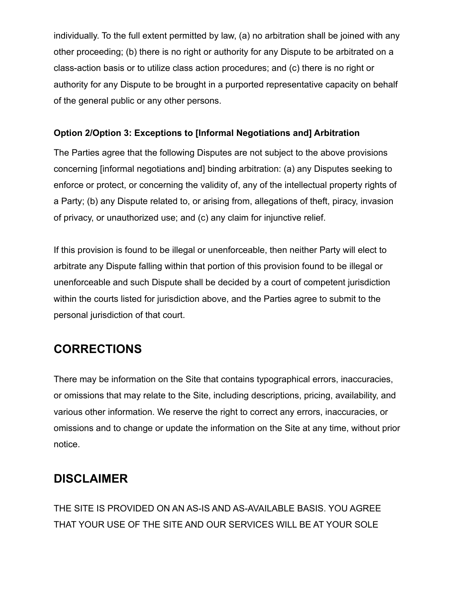individually. To the full extent permitted by law, (a) no arbitration shall be joined with any other proceeding; (b) there is no right or authority for any Dispute to be arbitrated on a class-action basis or to utilize class action procedures; and (c) there is no right or authority for any Dispute to be brought in a purported representative capacity on behalf of the general public or any other persons.

#### **Option 2/Option 3: Exceptions to [Informal Negotiations and] Arbitration**

The Parties agree that the following Disputes are not subject to the above provisions concerning [informal negotiations and] binding arbitration: (a) any Disputes seeking to enforce or protect, or concerning the validity of, any of the intellectual property rights of a Party; (b) any Dispute related to, or arising from, allegations of theft, piracy, invasion of privacy, or unauthorized use; and (c) any claim for injunctive relief.

If this provision is found to be illegal or unenforceable, then neither Party will elect to arbitrate any Dispute falling within that portion of this provision found to be illegal or unenforceable and such Dispute shall be decided by a court of competent jurisdiction within the courts listed for jurisdiction above, and the Parties agree to submit to the personal jurisdiction of that court.

## **CORRECTIONS**

There may be information on the Site that contains typographical errors, inaccuracies, or omissions that may relate to the Site, including descriptions, pricing, availability, and various other information. We reserve the right to correct any errors, inaccuracies, or omissions and to change or update the information on the Site at any time, without prior notice.

## **DISCLAIMER**

THE SITE IS PROVIDED ON AN AS-IS AND AS-AVAILABLE BASIS. YOU AGREE THAT YOUR USE OF THE SITE AND OUR SERVICES WILL BE AT YOUR SOLE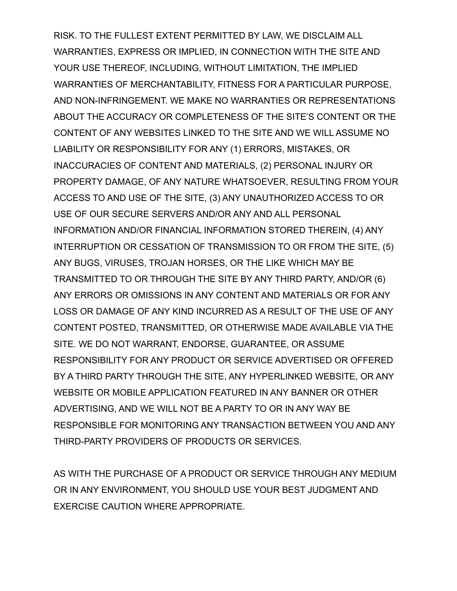RISK. TO THE FULLEST EXTENT PERMITTED BY LAW, WE DISCLAIM ALL WARRANTIES, EXPRESS OR IMPLIED, IN CONNECTION WITH THE SITE AND YOUR USE THEREOF, INCLUDING, WITHOUT LIMITATION, THE IMPLIED WARRANTIES OF MERCHANTABILITY, FITNESS FOR A PARTICULAR PURPOSE, AND NON-INFRINGEMENT. WE MAKE NO WARRANTIES OR REPRESENTATIONS ABOUT THE ACCURACY OR COMPLETENESS OF THE SITE'S CONTENT OR THE CONTENT OF ANY WEBSITES LINKED TO THE SITE AND WE WILL ASSUME NO LIABILITY OR RESPONSIBILITY FOR ANY (1) ERRORS, MISTAKES, OR INACCURACIES OF CONTENT AND MATERIALS, (2) PERSONAL INJURY OR PROPERTY DAMAGE, OF ANY NATURE WHATSOEVER, RESULTING FROM YOUR ACCESS TO AND USE OF THE SITE, (3) ANY UNAUTHORIZED ACCESS TO OR USE OF OUR SECURE SERVERS AND/OR ANY AND ALL PERSONAL INFORMATION AND/OR FINANCIAL INFORMATION STORED THEREIN, (4) ANY INTERRUPTION OR CESSATION OF TRANSMISSION TO OR FROM THE SITE, (5) ANY BUGS, VIRUSES, TROJAN HORSES, OR THE LIKE WHICH MAY BE TRANSMITTED TO OR THROUGH THE SITE BY ANY THIRD PARTY, AND/OR (6) ANY ERRORS OR OMISSIONS IN ANY CONTENT AND MATERIALS OR FOR ANY LOSS OR DAMAGE OF ANY KIND INCURRED AS A RESULT OF THE USE OF ANY CONTENT POSTED, TRANSMITTED, OR OTHERWISE MADE AVAILABLE VIA THE SITE. WE DO NOT WARRANT, ENDORSE, GUARANTEE, OR ASSUME RESPONSIBILITY FOR ANY PRODUCT OR SERVICE ADVERTISED OR OFFERED BY A THIRD PARTY THROUGH THE SITE, ANY HYPERLINKED WEBSITE, OR ANY WEBSITE OR MOBILE APPLICATION FEATURED IN ANY BANNER OR OTHER ADVERTISING, AND WE WILL NOT BE A PARTY TO OR IN ANY WAY BE RESPONSIBLE FOR MONITORING ANY TRANSACTION BETWEEN YOU AND ANY THIRD-PARTY PROVIDERS OF PRODUCTS OR SERVICES.

AS WITH THE PURCHASE OF A PRODUCT OR SERVICE THROUGH ANY MEDIUM OR IN ANY ENVIRONMENT, YOU SHOULD USE YOUR BEST JUDGMENT AND EXERCISE CAUTION WHERE APPROPRIATE.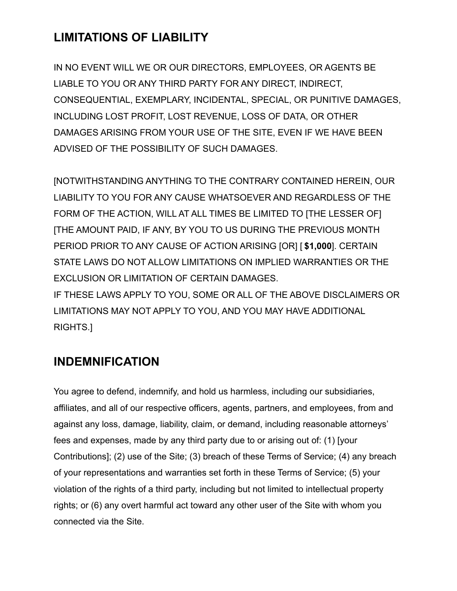## **LIMITATIONS OF LIABILITY**

IN NO EVENT WILL WE OR OUR DIRECTORS, EMPLOYEES, OR AGENTS BE LIABLE TO YOU OR ANY THIRD PARTY FOR ANY DIRECT, INDIRECT, CONSEQUENTIAL, EXEMPLARY, INCIDENTAL, SPECIAL, OR PUNITIVE DAMAGES, INCLUDING LOST PROFIT, LOST REVENUE, LOSS OF DATA, OR OTHER DAMAGES ARISING FROM YOUR USE OF THE SITE, EVEN IF WE HAVE BEEN ADVISED OF THE POSSIBILITY OF SUCH DAMAGES.

[NOTWITHSTANDING ANYTHING TO THE CONTRARY CONTAINED HEREIN, OUR LIABILITY TO YOU FOR ANY CAUSE WHATSOEVER AND REGARDLESS OF THE FORM OF THE ACTION, WILL AT ALL TIMES BE LIMITED TO [THE LESSER OF] [THE AMOUNT PAID, IF ANY, BY YOU TO US DURING THE PREVIOUS MONTH PERIOD PRIOR TO ANY CAUSE OF ACTION ARISING [OR] [ **\$1,000**]. CERTAIN STATE LAWS DO NOT ALLOW LIMITATIONS ON IMPLIED WARRANTIES OR THE EXCLUSION OR LIMITATION OF CERTAIN DAMAGES. IF THESE LAWS APPLY TO YOU, SOME OR ALL OF THE ABOVE DISCLAIMERS OR LIMITATIONS MAY NOT APPLY TO YOU, AND YOU MAY HAVE ADDITIONAL RIGHTS.]

## **INDEMNIFICATION**

You agree to defend, indemnify, and hold us harmless, including our subsidiaries, affiliates, and all of our respective officers, agents, partners, and employees, from and against any loss, damage, liability, claim, or demand, including reasonable attorneys' fees and expenses, made by any third party due to or arising out of: (1) [your Contributions]; (2) use of the Site; (3) breach of these Terms of Service; (4) any breach of your representations and warranties set forth in these Terms of Service; (5) your violation of the rights of a third party, including but not limited to intellectual property rights; or (6) any overt harmful act toward any other user of the Site with whom you connected via the Site.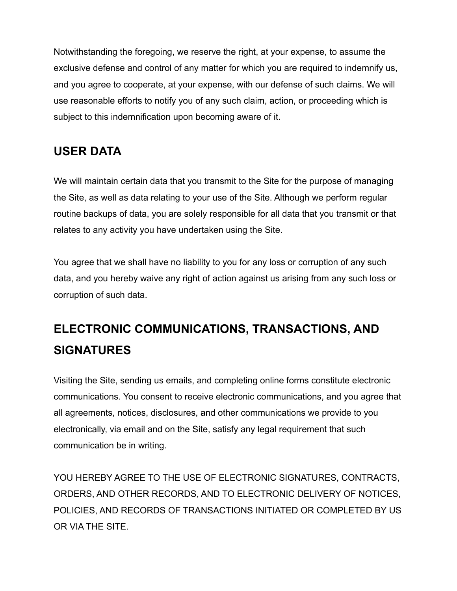Notwithstanding the foregoing, we reserve the right, at your expense, to assume the exclusive defense and control of any matter for which you are required to indemnify us, and you agree to cooperate, at your expense, with our defense of such claims. We will use reasonable efforts to notify you of any such claim, action, or proceeding which is subject to this indemnification upon becoming aware of it.

## **USER DATA**

We will maintain certain data that you transmit to the Site for the purpose of managing the Site, as well as data relating to your use of the Site. Although we perform regular routine backups of data, you are solely responsible for all data that you transmit or that relates to any activity you have undertaken using the Site.

You agree that we shall have no liability to you for any loss or corruption of any such data, and you hereby waive any right of action against us arising from any such loss or corruption of such data.

# **ELECTRONIC COMMUNICATIONS, TRANSACTIONS, AND SIGNATURES**

Visiting the Site, sending us emails, and completing online forms constitute electronic communications. You consent to receive electronic communications, and you agree that all agreements, notices, disclosures, and other communications we provide to you electronically, via email and on the Site, satisfy any legal requirement that such communication be in writing.

YOU HEREBY AGREE TO THE USE OF ELECTRONIC SIGNATURES, CONTRACTS, ORDERS, AND OTHER RECORDS, AND TO ELECTRONIC DELIVERY OF NOTICES, POLICIES, AND RECORDS OF TRANSACTIONS INITIATED OR COMPLETED BY US OR VIA THE SITE.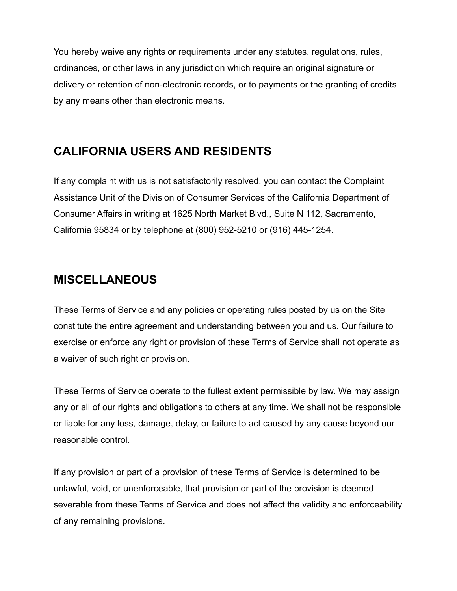You hereby waive any rights or requirements under any statutes, regulations, rules, ordinances, or other laws in any jurisdiction which require an original signature or delivery or retention of non-electronic records, or to payments or the granting of credits by any means other than electronic means.

## **CALIFORNIA USERS AND RESIDENTS**

If any complaint with us is not satisfactorily resolved, you can contact the Complaint Assistance Unit of the Division of Consumer Services of the California Department of Consumer Affairs in writing at 1625 North Market Blvd., Suite N 112, Sacramento, California 95834 or by telephone at (800) 952-5210 or (916) 445-1254.

## **MISCELLANEOUS**

These Terms of Service and any policies or operating rules posted by us on the Site constitute the entire agreement and understanding between you and us. Our failure to exercise or enforce any right or provision of these Terms of Service shall not operate as a waiver of such right or provision.

These Terms of Service operate to the fullest extent permissible by law. We may assign any or all of our rights and obligations to others at any time. We shall not be responsible or liable for any loss, damage, delay, or failure to act caused by any cause beyond our reasonable control.

If any provision or part of a provision of these Terms of Service is determined to be unlawful, void, or unenforceable, that provision or part of the provision is deemed severable from these Terms of Service and does not affect the validity and enforceability of any remaining provisions.